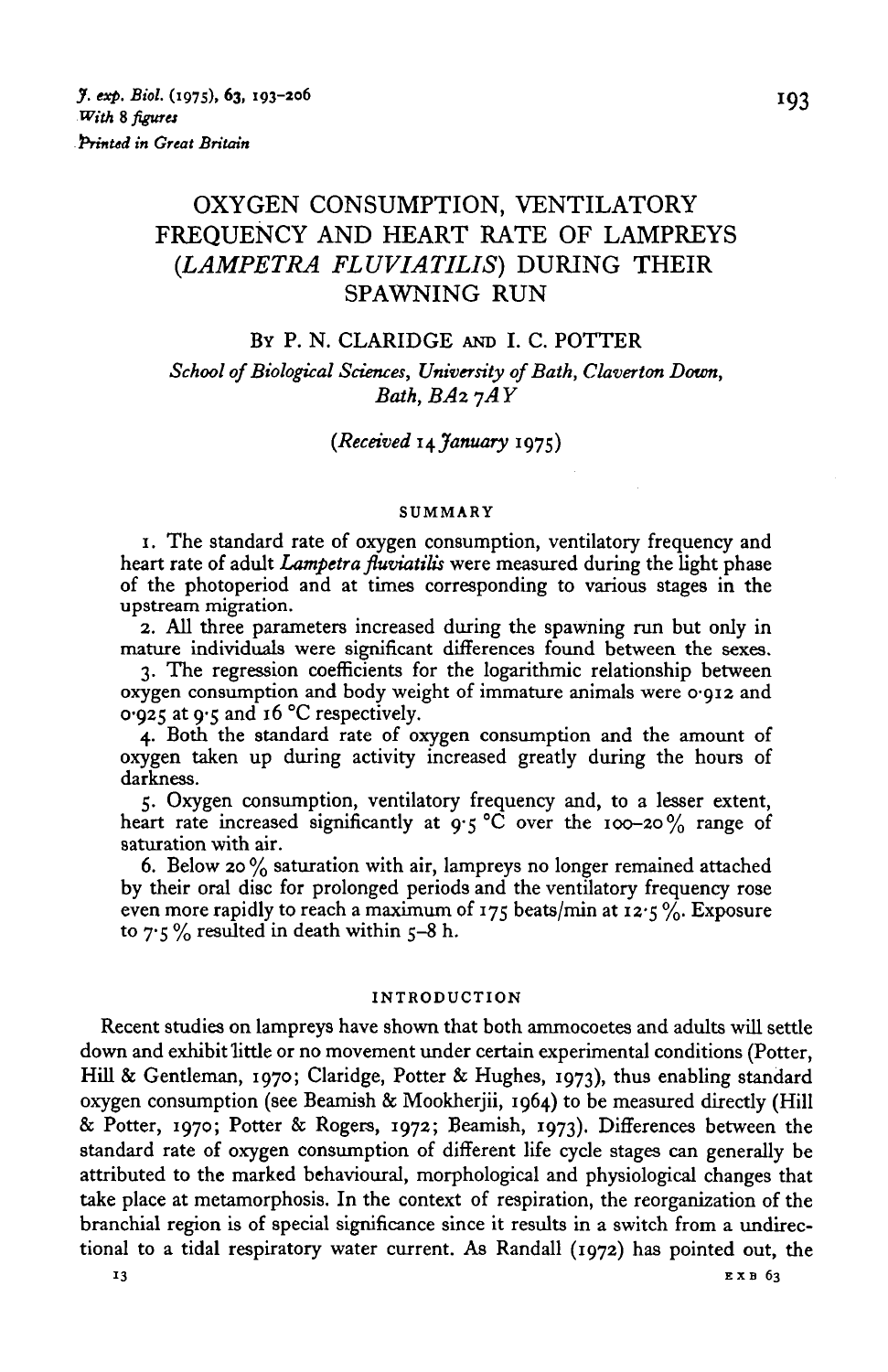# OXYGEN CONSUMPTION, VENTILATORY FREQUENCY AND HEART RATE OF LAMPREYS *(LAMPETRA FLUVIATILIS)* DURING THEIR SPAWNING RUN

## BY P. N. CLARIDGE AND I. C. POTTER

*School of Biological Sciences, University of Bath, Claverton Down, Bath, BA2 7AY* 

## *(Received \\fanuary* 1975)

### SUMMARY

1. The standard rate of oxygen consumption, ventilatory frequency and heart rate of adult *Lampetra fluviatilis* were measured during the light phase of the photoperiod and at times corresponding to various stages in the upstream migration.

2. All three parameters increased during the spawning run but only in mature individuals were significant differences found between the sexes.

3. The regression coefficients for the logarithmic relationship between oxygen consumption and body weight of immature animals were 0-912 and 0-925 at 9-5 and 16 °C respectively.

4. Both the standard rate of oxygen consumption and the amount of oxygen taken up during activity increased greatly during the hours of darkness.

5. Oxygen consumption, ventilatory frequency and, to a lesser extent, heart rate increased significantly at  $9.5^{\circ}$ C over the 100-20% range of saturation with air.

6. Below 20 % saturation with air, lampreys no longer remained attached by their oral disc for prolonged periods and the ventilatory frequency rose even more rapidly to reach a maximum of 175 beats/min at 12.5%. Exposure to  $7.5\%$  resulted in death within 5-8 h.

### INTRODUCTION

Recent studies on lampreys have shown that both ammocoetes and adults will settle down and exhibit little or no movement under certain experimental conditions (Potter, Hill & Gentleman, 1970; Claridge, Potter & Hughes, 1973), thus enabling standard oxygen consumption (see Beamish & Mookherjii, 1964) to be measured directly (Hill & Potter, 1970; Potter & Rogers, 1972; Beamish, 1973). Differences between the standard rate of oxygen consumption of different life cycle stages can generally be attributed to the marked behavioural, morphological and physiological changes that take place at metamorphosis. In the context of respiration, the reorganization of the branchial region is of special significance since it results in a switch from a undirectional to a tidal respiratory water current. As Randall (1972) has pointed out, the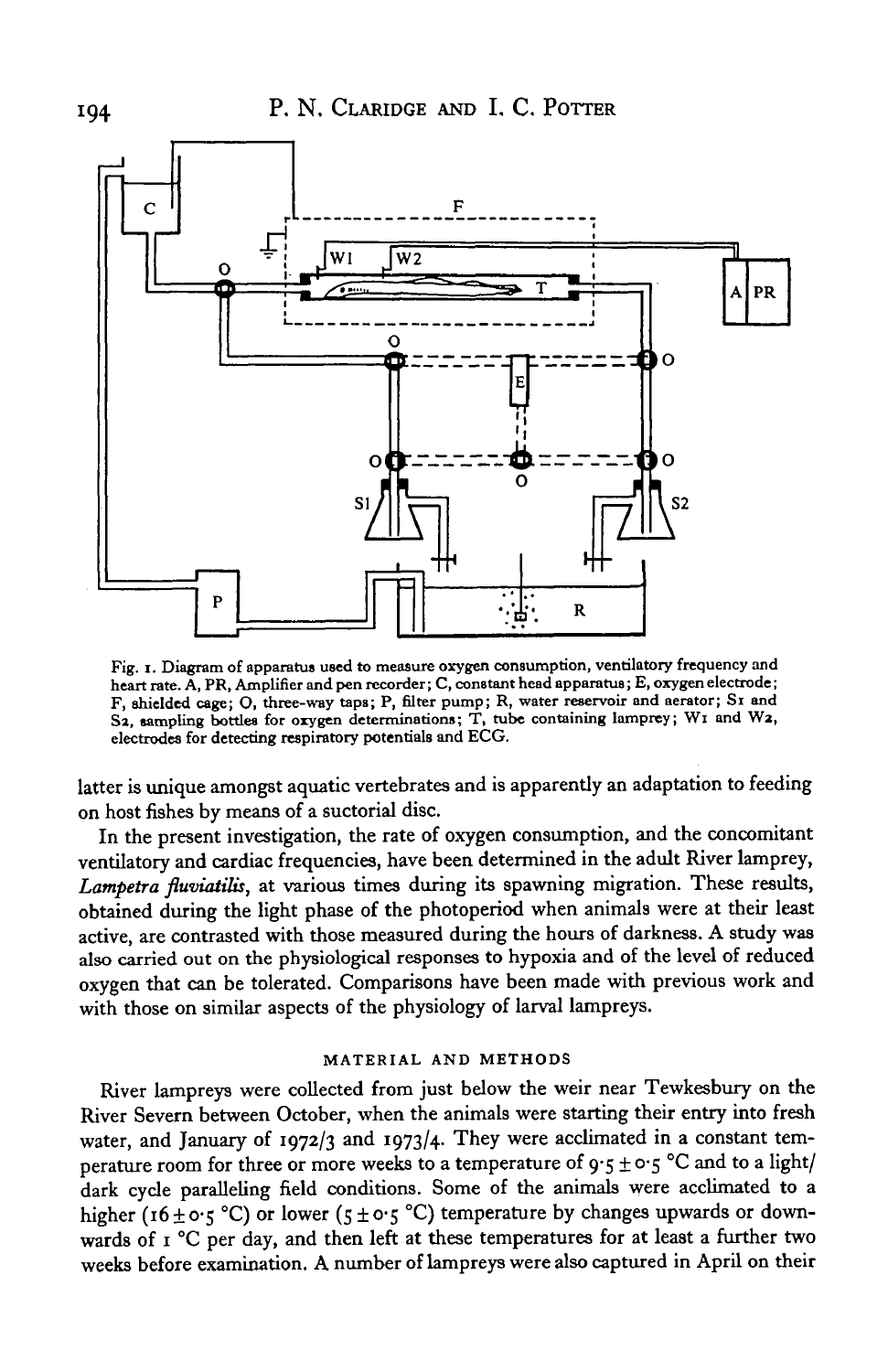

**Fig. i. Diagram of apparatus used to measure oxygen consumption, ventilatory frequency and heart rate. A, PR, Amplifier and pen recorder; C, constant head apparatus; E, oxygen electrode; F, shielded cage; O, three-way taps; P, filter pump; R, water reservoir and aerator; Si and** S2, sampling bottles for oxygen determinations; T, tube containing lamprey; W1 and W2, **electrodes for detecting respiratory potentials and ECG.**

latter is unique amongst aquatic vertebrates and is apparently an adaptation to feeding on host fishes by means of a suctorial disc.

In the present investigation, the rate of oxygen consumption, and the concomitant ventilatory and cardiac frequencies, have been determined in the adult River lamprey, *Lampetra fluviatilis,* at various times during its spawning migration. These results, obtained during the light phase of the photoperiod when animals were at their least active, are contrasted with those measured during the hours of darkness. A study was also carried out on the physiological responses to hypoxia and of the level of reduced oxygen that can be tolerated. Comparisons have been made with previous work and with those on similar aspects of the physiology of larval lampreys.

### **MATERIAL AND METHODS**

River lampreys were collected from just below the weir near Tewkesbury on the River Severn between October, when the animals were starting their entry into fresh water, and January of 1972/3 and 1973/4. They were acclimated in a constant temperature room for three or more weeks to a temperature of  $9.5 \pm 0.5$  °C and to a light/ dark cycle paralleling field conditions. Some of the animals were acclimated to a higher (16 ± 0.5 °C) or lower (5 ± 0.5 °C) temperature by changes upwards or downwards of 1 °C per day, and then left at these temperatures for at least a further two weeks before examination. A number of lampreys were also captured in April on their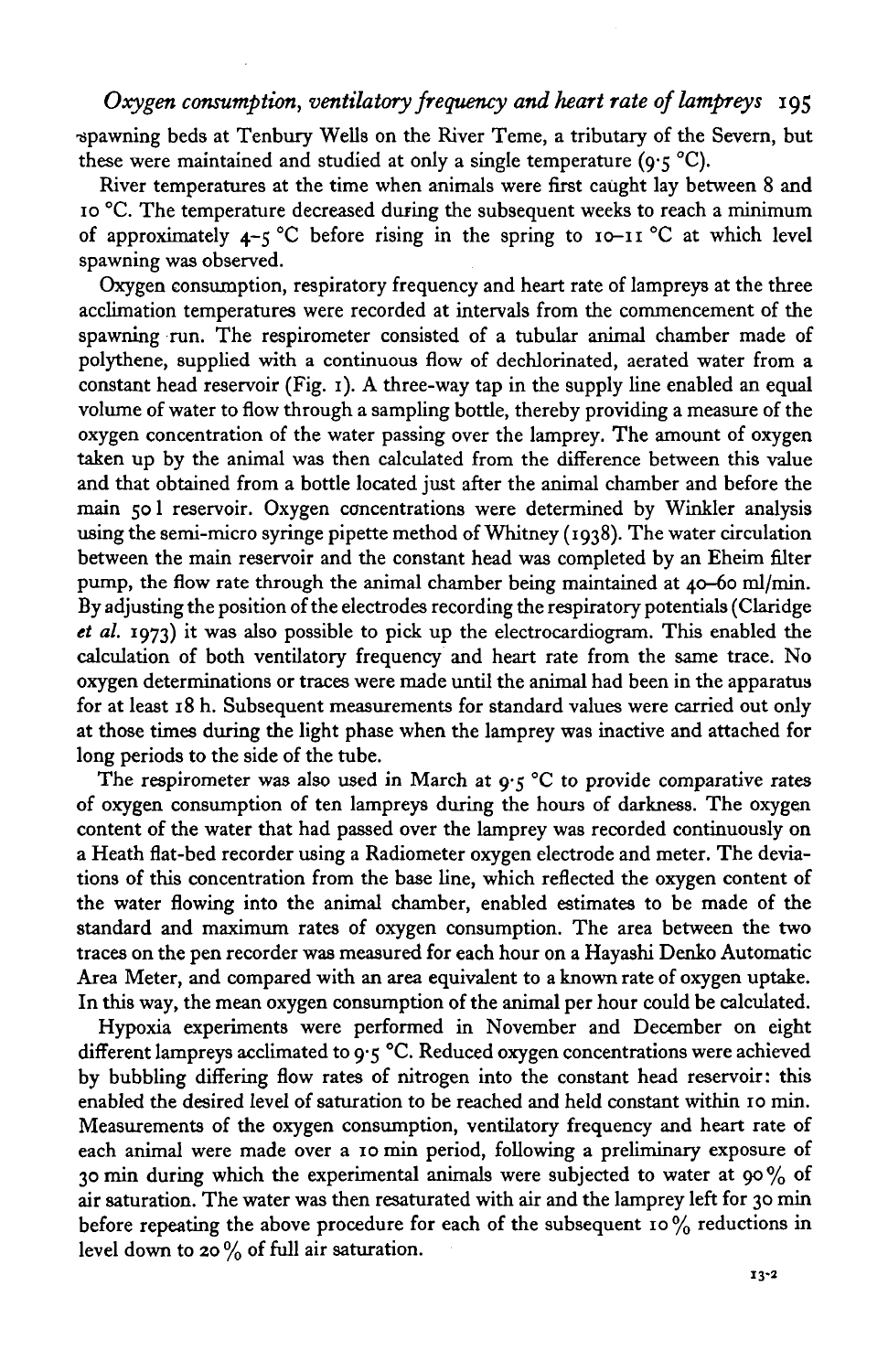# *Oxygen consumption, ventilatory frequency and heart rate of lampreys* 195

•spawning beds at Tenbury Wells on the River Teme, a tributary of the Severn, but these were maintained and studied at only a single temperature ( $9.5 \text{ °C}$ ).

River temperatures at the time when animals were first caught lay between 8 and 10 °C. The temperature decreased during the subsequent weeks to reach a minimum of approximately  $4-\xi$  °C before rising in the spring to  $10-\xi$  °C at which level spawning was observed.

Oxygen consumption, respiratory frequency and heart rate of lampreys at the three acclimation temperatures were recorded at intervals from the commencement of the spawning run. The respirometer consisted of a tubular animal chamber made of polythene, supplied with a continuous flow of dechlorinated, aerated water from a constant head reservoir (Fig. 1). A three-way tap in the supply line enabled an equal volume of water to flow through a sampling bottle, thereby providing a measure of the oxygen concentration of the water passing over the lamprey. The amount of oxygen taken up by the animal was then calculated from the difference between this value and that obtained from a bottle located just after the animal chamber and before the main 50 1 reservoir. Oxygen concentrations were determined by Winkler analysis using the semi-micro syringe pipette method of Whitney (1938). The water circulation between the main reservoir and the constant head was completed by an Eheim filter pump, the flow rate through the animal chamber being maintained at 40-60 ml/min. By adjusting the position of the electrodes recording the respiratory potentials (Claridge *et al.* 1973) it was also possible to pick up the electrocardiogram. This enabled the calculation of both ventilatory frequency and heart rate from the same trace. No oxygen determinations or traces were made until the animal had been in the apparatus for at least 18 h. Subsequent measurements for standard values were carried out only at those times during the light phase when the lamprey was inactive and attached for long periods to the side of the tube.

The respirometer was also used in March at  $9.5$  °C to provide comparative rates of oxygen consumption of ten lampreys during the hours of darkness. The oxygen content of the water that had passed over the lamprey was recorded continuously on a Heath flat-bed recorder using a Radiometer oxygen electrode and meter. The deviations of this concentration from the base line, which reflected the oxygen content of the water flowing into the animal chamber, enabled estimates to be made of the standard and maximum rates of oxygen consumption. The area between the two traces on the pen recorder was measured for each hour on a Hayashi Denko Automatic Area Meter, and compared with an area equivalent to a known rate of oxygen uptake. In this way, the mean oxygen consumption of the animal per hour could be calculated.

Hypoxia experiments were performed in November and December on eight different lampreys acclimated to 9-5 °C. Reduced oxygen concentrations were achieved by bubbling differing flow rates of nitrogen into the constant head reservoir: this enabled the desired level of saturation to be reached and held constant within 10 min. Measurements of the oxygen consumption, ventilatory frequency and heart rate of each animal were made over a 10 min period, following a preliminary exposure of 30 min during which the experimental animals were subjected to water at 90 % of air saturation. The water was then resaturated with air and the lamprey left for 30 min before repeating the above procedure for each of the subsequent 10% reductions in level down to 20 % of full air saturation.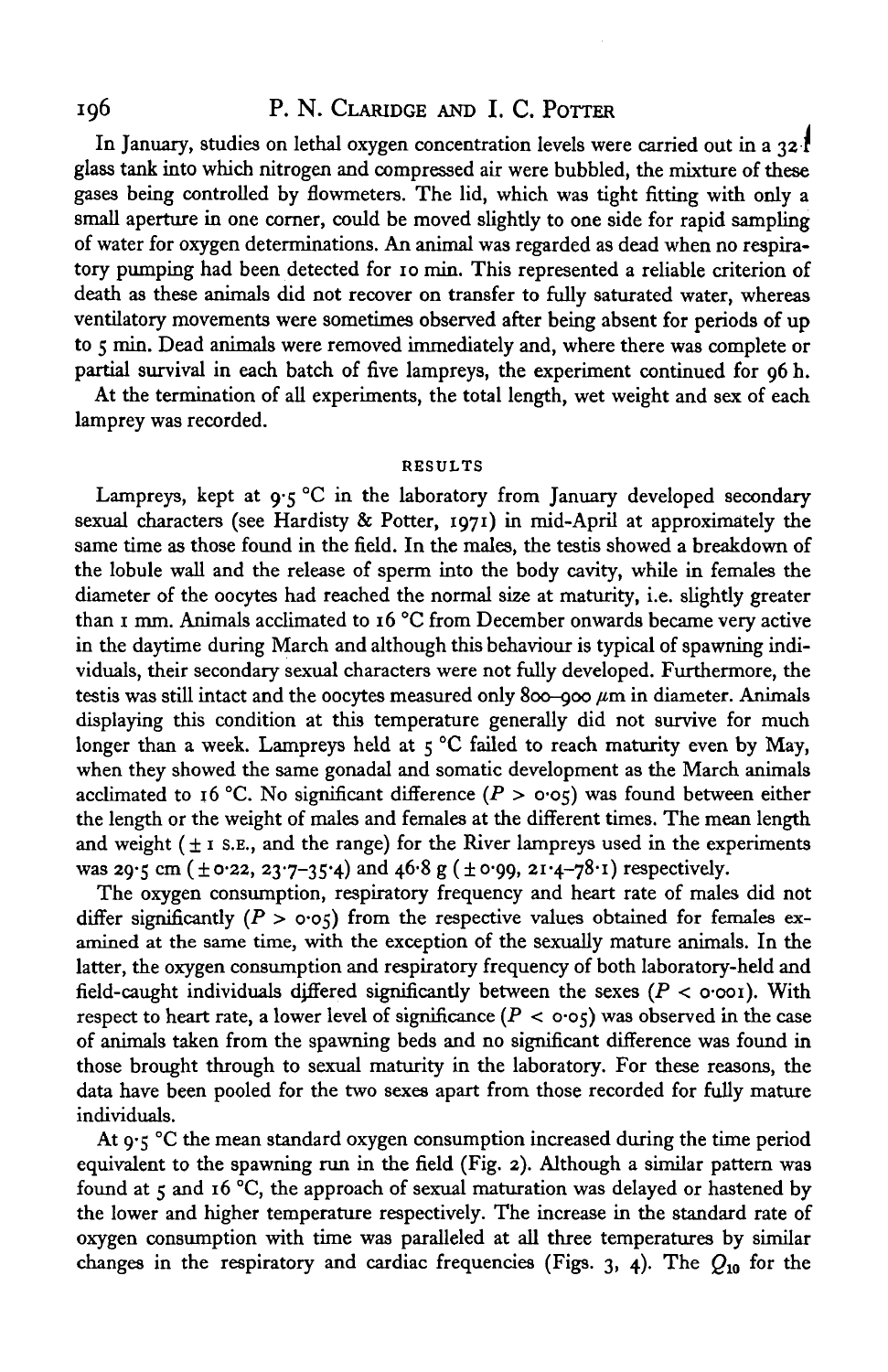# 196 P. N. CLARIDGE AND I. C. POTTER

In January, studies on lethal oxygen concentration levels were carried out in a  $32<sup>1</sup>$ glass tank into which nitrogen and compressed air were bubbled, the mixture of these gases being controlled by flowmeters. The lid, which was tight fitting with only a small aperture in one corner, could be moved slightly to one side for rapid sampling of water for oxygen determinations. An animal was regarded as dead when no respiratory pumping had been detected for 10 min. This represented a reliable criterion of death as these animals did not recover on transfer to fully saturated water, whereas ventilatory movements were sometimes observed after being absent for periods of up to 5 min. Dead animals were removed immediately and, where there was complete or partial survival in each batch of five lampreys, the experiment continued for  $\alpha$ 6 h.

At the termination of all experiments, the total length, wet weight and sex of each lamprey was recorded.

### **RESULTS**

Lampreys, kept at  $9.5^{\circ}$ C in the laboratory from January developed secondary sexual characters (see Hardisty & Potter, 1971) in mid-April at approximately the same time as those found in the field. In the males, the testis showed a breakdown of the lobule wall and the release of sperm into the body cavity, while in females the diameter of the oocytes had reached the normal size at maturity, i.e. slightly greater than 1 mm. Animals acclimated to 16 °C from December onwards became very active in the daytime during March and although this behaviour is typical of spawning individuals, their secondary sexual characters were not fully developed. Furthermore, the testis was still intact and the oocytes measured only 800-900  $\mu$ m in diameter. Animals displaying this condition at this temperature generally did not survive for much longer than a week. Lampreys held at  $\varsigma$  °C failed to reach maturity even by May, when they showed the same gonadal and somatic development as the March animals acclimated to 16 °C. No significant difference ( $P > o·o5$ ) was found between either the length or the weight of males and females at the different times. The mean length and weight  $(± i$  s.e., and the range) for the River lampreys used in the experiments was 29.5 cm ( $\pm$ 0.22, 23.7–35.4) and 46.8 g ( $\pm$ 0.99, 21.4–78.1) respectively.

The oxygen consumption, respiratory frequency and heart rate of males did not differ significantly  $(P > o \circ \sigma)$  from the respective values obtained for females examined at the same time, with the exception of the sexually mature animals. In the latter, the oxygen consumption and respiratory frequency of both laboratory-held and field-caught individuals djffered significantly between the sexes *(P <* o-ooi). With respect to heart rate, a lower level of significance  $(P < o \circ \varsigma)$  was observed in the case of animals taken from the spawning beds and no significant difference was found in those brought through to sexual maturity in the laboratory. For these reasons, the data have been pooled for the two sexes apart from those recorded for fully mature individuals.

At  $9.5$  °C the mean standard oxygen consumption increased during the time period equivalent to the spawning run in the field (Fig. 2). Although a similar pattern was found at  $\zeta$  and 16 °C, the approach of sexual maturation was delayed or hastened by the lower and higher temperature respectively. The increase in the standard rate of oxygen consumption with time was paralleled at all three temperatures by similar changes in the respiratory and cardiac frequencies (Figs. 3, 4). The *Q10* for the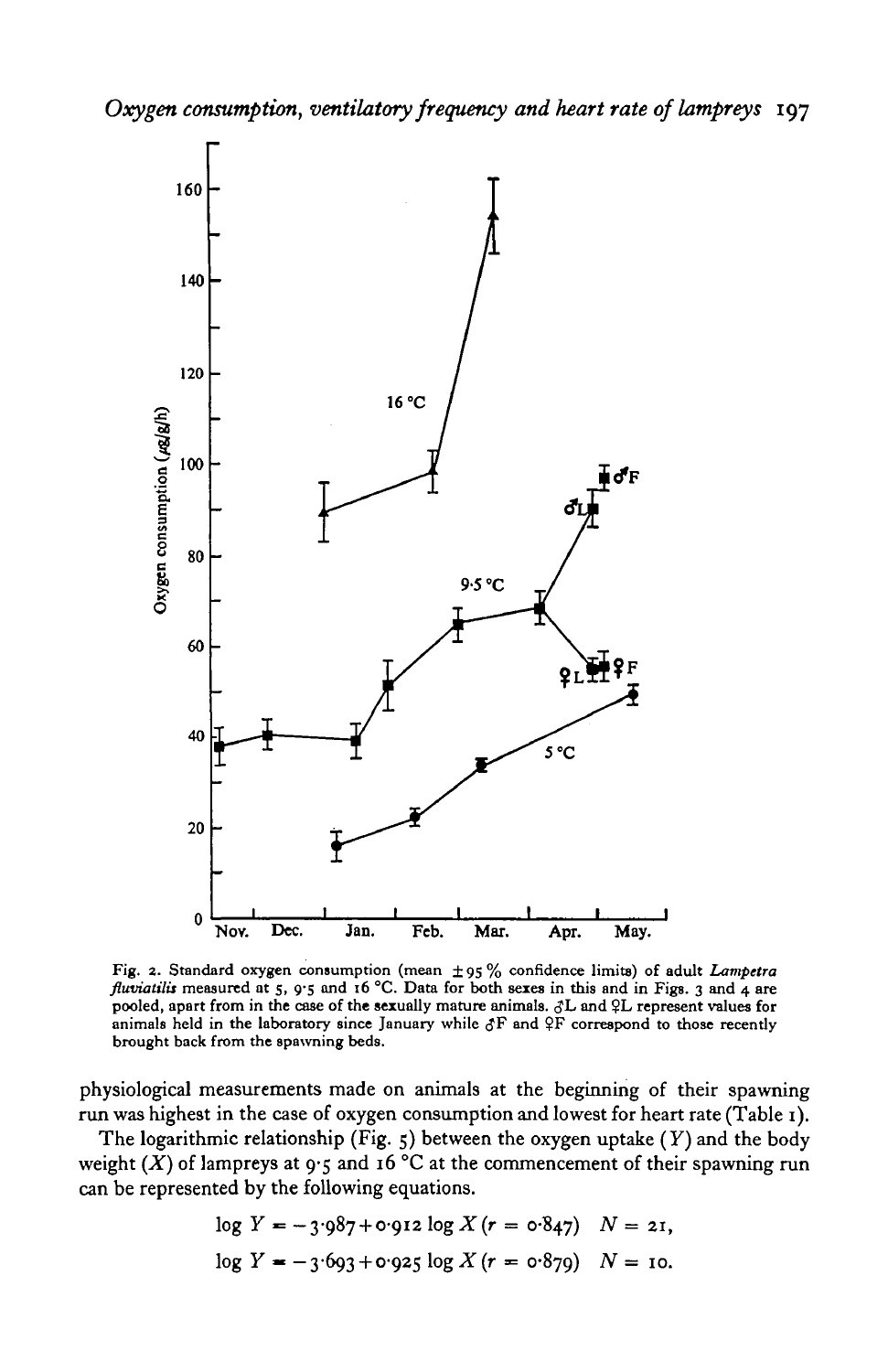

Fig. 2. Standard oxygen consumption (mean ± 95 % confidence limits) of adult *Lampetra fluviatilis* measured at 5, 9.5 and 16 °C. Data for both sexes in this and in Figs. 3 and 4 are pooled, apart from in the case of the sexually mature animals.  $\partial L$  and  $\partial L$  represent values for animals held in the labo animals held in the laboratory since January while  $\delta F$  and  $\delta F$  correspond to those recently brought back from the spawning beds.

physiological measurements made on animals at the beginning of their spawning run was highest in the case of oxygen consumption and lowest for heart rate (Table 1).

The logarithmic relationship (Fig. 5) between the oxygen uptake *(Y)* and the body weight  $(X)$  of lampreys at  $9.5$  and 16 °C at the commencement of their spawning run can be represented by the following equations.

$$
\log Y = -3.987 + 0.912 \log X (r = 0.847) \quad N = 21,
$$
  

$$
\log Y = -3.693 + 0.925 \log X (r = 0.879) \quad N = 10.
$$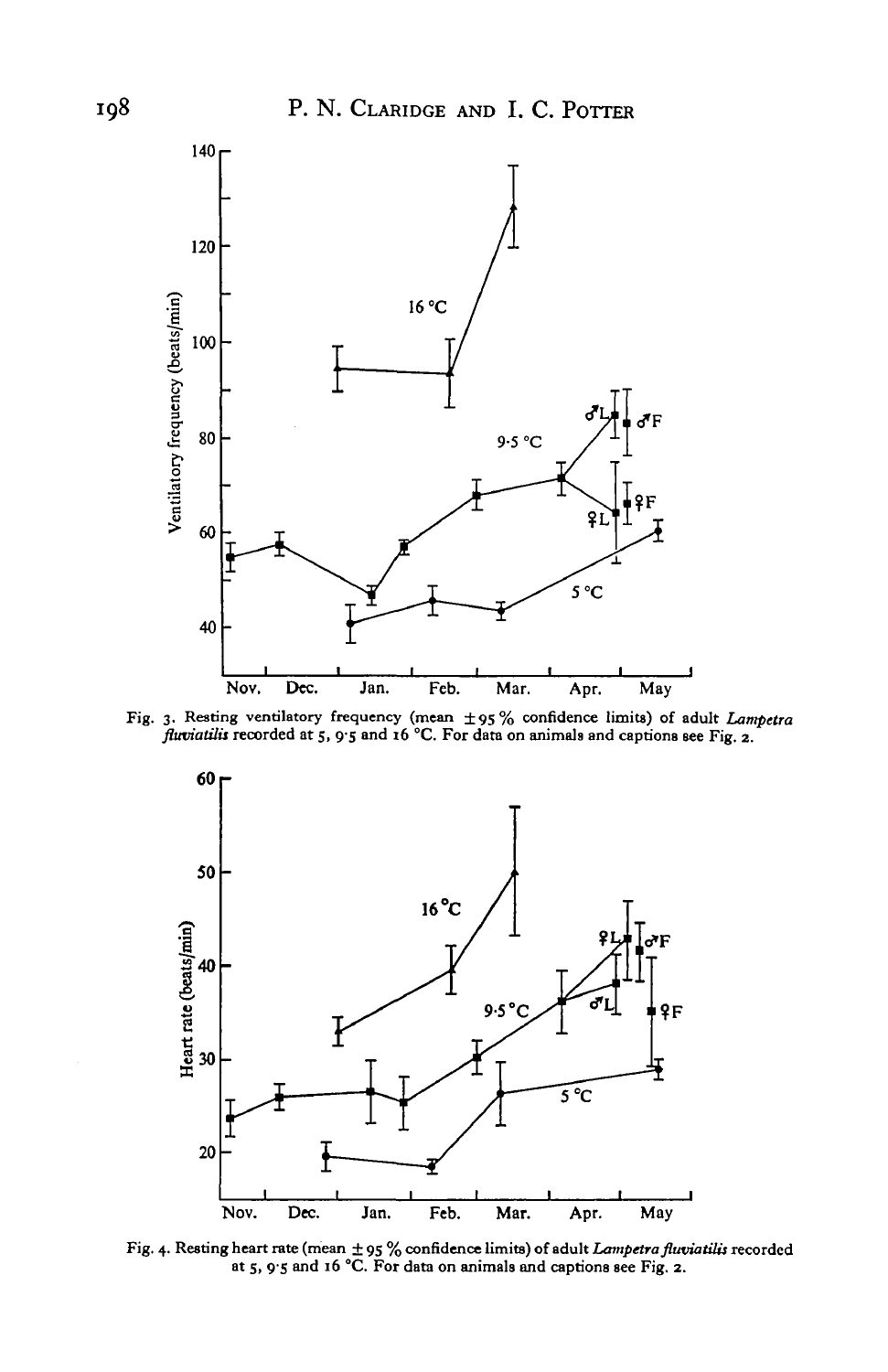

**Fig. 3. Resting ventilatory frequency (mean ±95 % confidence limits) of adult** *Lampetra fluviatilis* **recorded at 5, 9-5 and 16 °C. For data on animals and captions see Fig. 2.**



Fig. 4. Resting heart rate (mean  $\pm$  95 % confidence limits) of adult *Lampetra fluviatilis* recorded at 5, 9'5 and 16 °C. For data on animals and captions see Fig. 2.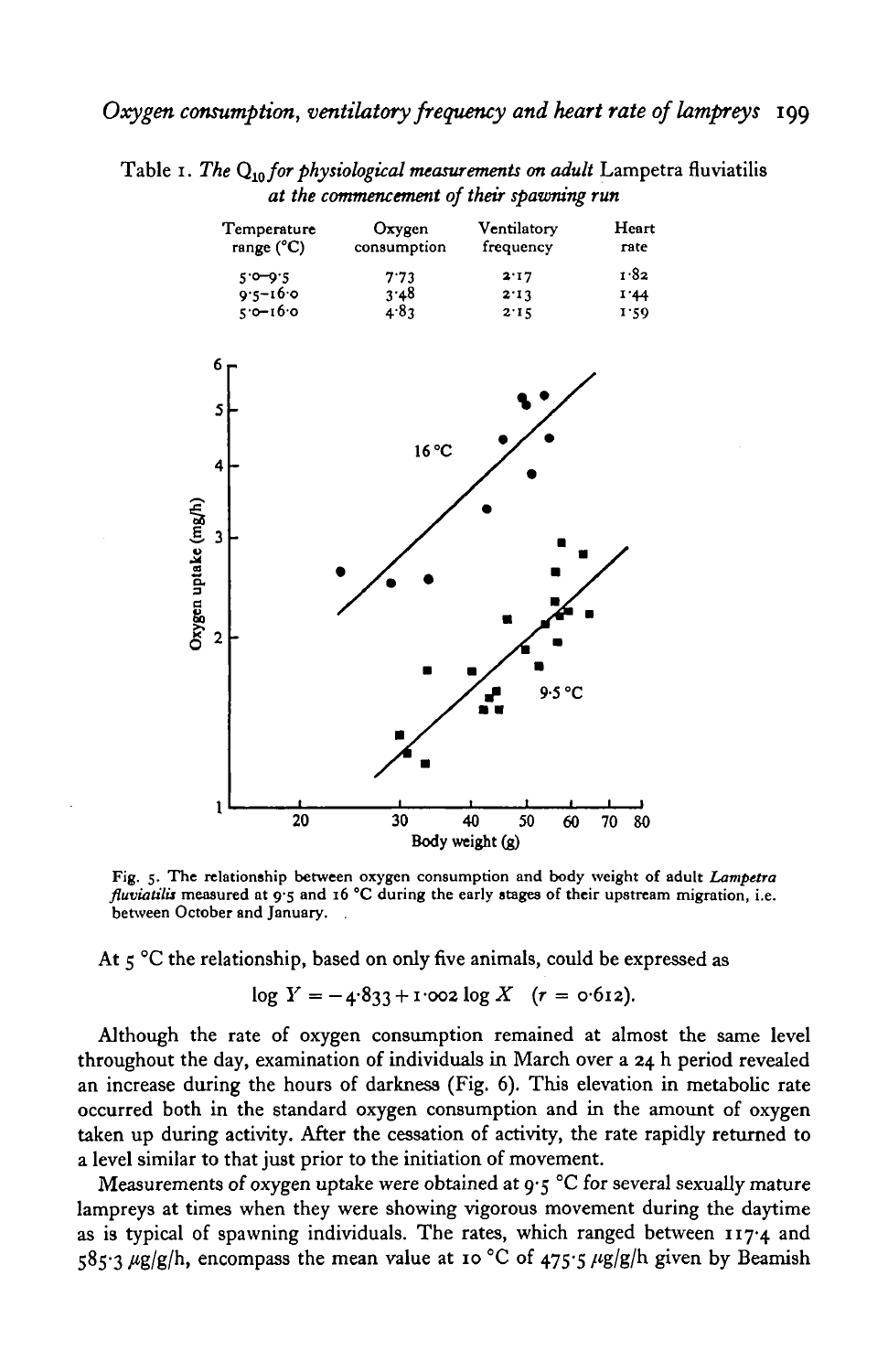Table 1. *The* Q10 *for physiological measurements on adult* Lampetra fluviatilis *at the commencement of their spawning run*

| Temperature<br>range $(^{\circ}C)$ | Oxygen<br>consumption | Ventilatory<br>frequency | Heart<br>rate |
|------------------------------------|-----------------------|--------------------------|---------------|
| $5.0 - 9.5$                        | 7.73                  | 2.17                     | 1.82          |
| $9.5 - 16.0$                       | 3.48                  | 2.13                     | 1.44          |
| $5.0 - 16.0$                       | 4.83                  | 2.15                     | 1:59          |

![](_page_6_Figure_3.jpeg)

Fig. 5. The relationship between oxygen consumption and body weight of adult *Lampetra fluviatilis* measured at 9.5 and 16 °C during the early stages of their upstream migration, i.e. between October and January.

At  $\zeta$  °C the relationship, based on only five animals, could be expressed as

$$
\log Y = -4.833 + 1.002 \log X \quad (r = 0.612).
$$

Although the rate of oxygen consumption remained at almost the same level throughout the day, examination of individuals in March over a 24 h period revealed an increase during the hours of darkness (Fig. 6). This elevation in metabolic rate occurred both in the standard oxygen consumption and in the amount of oxygen taken up during activity. After the cessation of activity, the rate rapidly returned to a level similar to that just prior to the initiation of movement.

Measurements of oxygen uptake were obtained at  $9.5$  °C for several sexually mature lampreys at times when they were showing vigorous movement during the daytime as is typical of spawning individuals. The rates, which ranged between  $117.4$  and  $585.3 \mu g/g/h$ , encompass the mean value at 10 °C of 475.5  $\mu g/g/h$  given by Beamish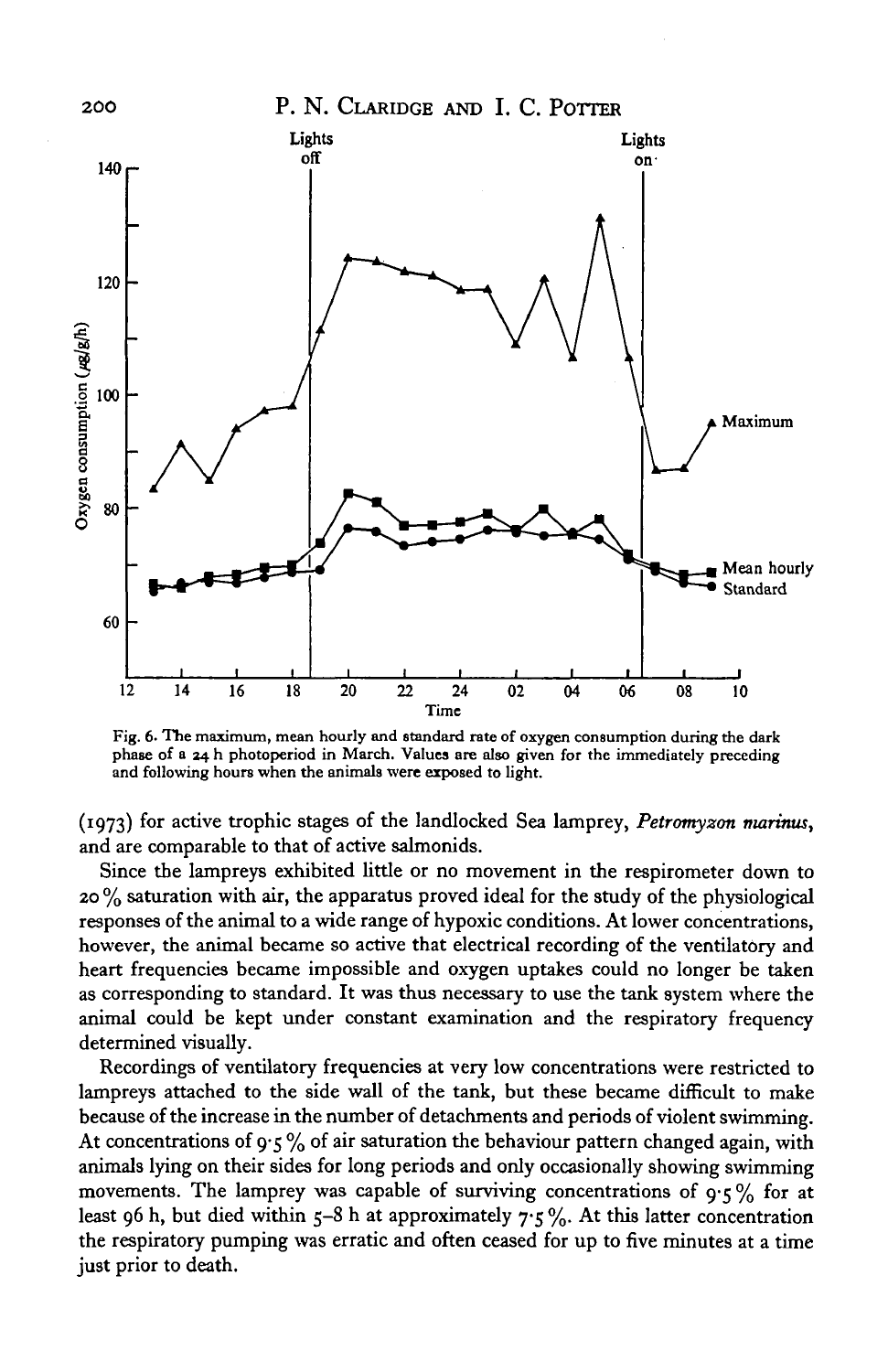![](_page_7_Figure_0.jpeg)

![](_page_7_Figure_1.jpeg)

**Fig. 6. The maximum, mean hourly and standard rate of oxygen consumption during the dark phase of a 24 h photoperiod in March. Values are also given for the immediately preceding and following hours when the animals were exposed to light.**

(1973) for active trophic stages of the landlocked Sea lamprey, *Petromyzon marimis,* and are comparable to that of active salmonids.

Since the lampreys exhibited little or no movement in the respirometer down to  $20\%$  saturation with air, the apparatus proved ideal for the study of the physiological responses of the animal to a wide range of hypoxic conditions. At lower concentrations, however, the animal became so active that electrical recording of the ventilatory and heart frequencies became impossible and oxygen uptakes could no longer be taken as corresponding to standard. It was thus necessary to use the tank system where the animal could be kept under constant examination and the respiratory frequency determined visually.

Recordings of ventilatory frequencies at very low concentrations were restricted to lampreys attached to the side wall of the tank, but these became difficult to make because of the increase in the number of detachments and periods of violent swimming. At concentrations of  $9.5\%$  of air saturation the behaviour pattern changed again, with animals lying on their sides for long periods and only occasionally showing swimming movements. The lamprey was capable of surviving concentrations of  $9.5\%$  for at least 96 h, but died within 5-8 h at approximately  $7.5\%$ . At this latter concentration the respiratory pumping was erratic and often ceased for up to five minutes at a time just prior to death.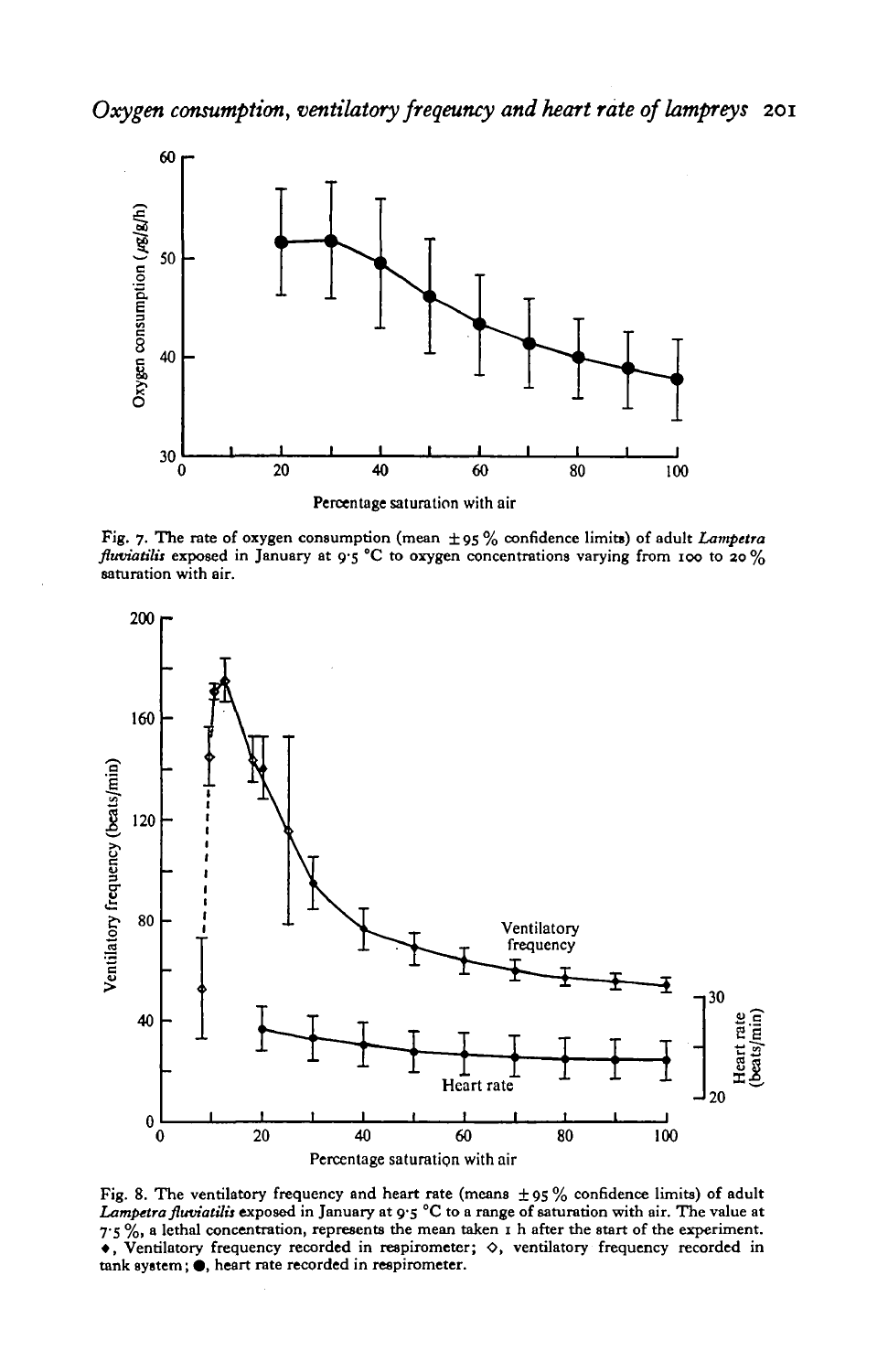![](_page_8_Figure_1.jpeg)

Fig. 7. The rate of oxygen consumption (mean ± 95 % confidence limits) of adult *Lampetra fluviatilis* exposed in January at 9.5 °C to oxygen concentrations varying from 100 to 20% saturation with air.

![](_page_8_Figure_3.jpeg)

Fig. 8. The ventilatory frequency and heart rate (means  $\pm$  95 % confidence limits) of adult *Lampetra fltwiatilu* exposed in January at 9-5 °C to a range of saturation with air. The value at  $-7.5\%$ , a lethal concentration, represents the mean taken I h after the start of the experiment.<br>  $\bullet$ , Ventilatory frequency recorded in respirometer;  $\diamond$ , ventilatory frequency recorded in tank system;  $\bullet$ , heart ra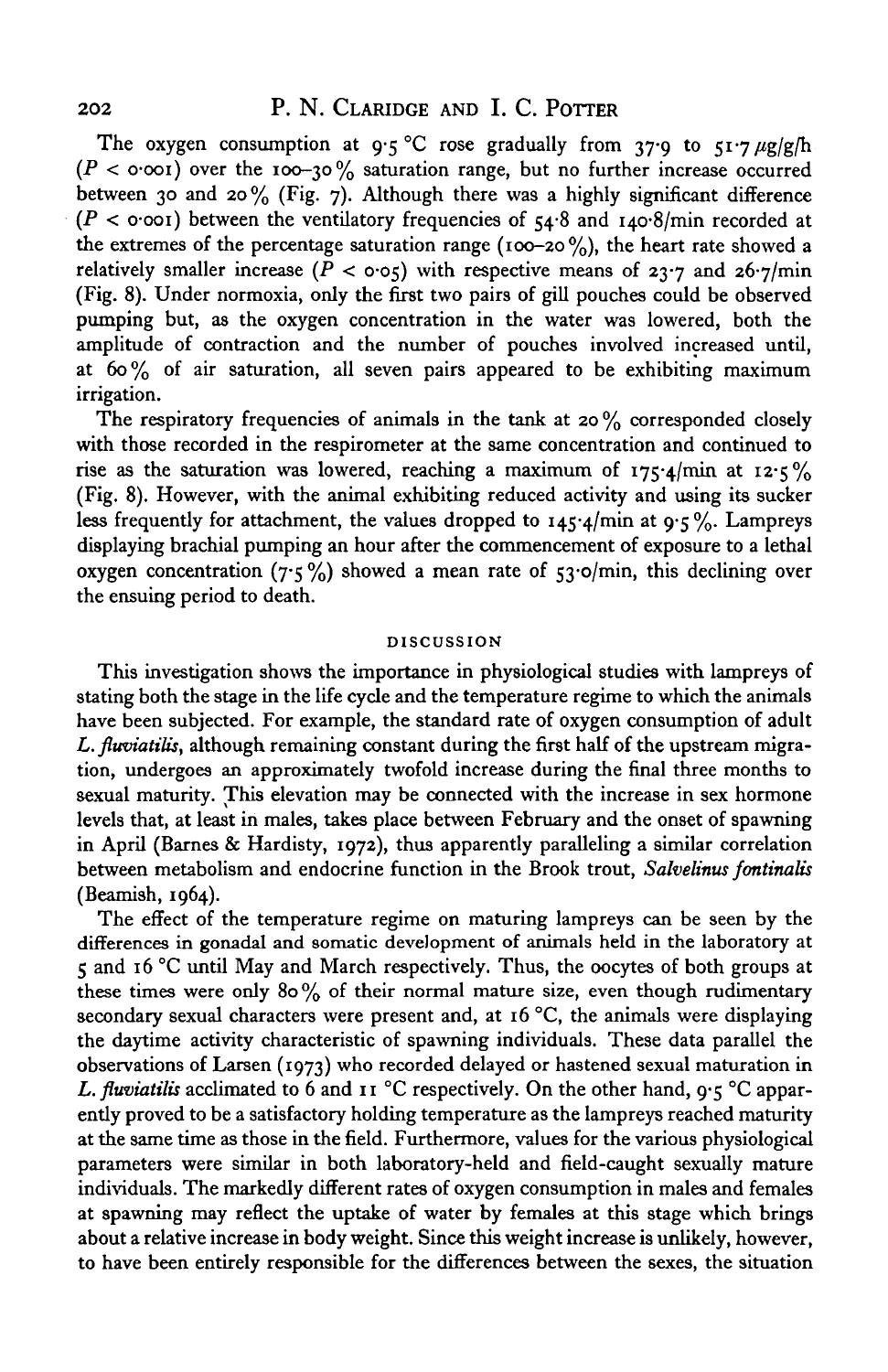The oxygen consumption at 9.5 °C rose gradually from 37.9 to  $51.7 \mu g/g/h$  $(P < \text{o}-\text{o}-\text{o})$  over the 100-30% saturation range, but no further increase occurred between 30 and 20% (Fig. 7). Although there was a highly significant difference  $(P < \text{o}\text{-}\text{o}\text{o}t)$  between the ventilatory frequencies of  $54.8$  and  $140.8/\text{min}$  recorded at the extremes of the percentage saturation range (100-20 $\frac{9}{6}$ ), the heart rate showed a relatively smaller increase  $(P < o·o<sub>5</sub>)$  with respective means of 23<sup>-</sup>7 and 26<sup>-</sup>7/min (Fig. 8). Under normoxia, only the first two pairs of gill pouches could be observed pumping but, as the oxygen concentration in the water was lowered, both the amplitude of contraction and the number of pouches involved increased until, at  $60\%$  of air saturation, all seven pairs appeared to be exhibiting maximum irrigation.

The respiratory frequencies of animals in the tank at 20 $\%$  corresponded closely with those recorded in the respirometer at the same concentration and continued to rise as the saturation was lowered, reaching a maximum of  $175.4$ /min at  $12.5\%$ (Fig. 8). However, with the animal exhibiting reduced activity and using its sucker less frequently for attachment, the values dropped to  $145.4$ /min at 9.5%. Lampreys displaying brachial pumping an hour after the commencement of exposure to a lethal oxygen concentration (7.5%) showed a mean rate of  $53.0$ min, this declining over the ensuing period to death.

### **DISCUSSION**

This investigation shows the importance in physiological studies with lampreys of stating both the stage in the life cycle and the temperature regime to which the animals have been subjected. For example, the standard rate of oxygen consumption of adult *L. fitwiatilis,* although remaining constant during the first half of the upstream migration, undergoes an approximately twofold increase during the final three months to sexual maturity. This elevation may be connected with the increase in sex hormone levels that, at least in males, takes place between February and the onset of spawning in April (Barnes & Hardisty, 1972), thus apparently paralleling a similar correlation between metabolism and endocrine function in the Brook trout, *Salvelinus fontinalis* (Beamish, 1964).

The effect of the temperature regime on maturing lampreys can be seen by the differences in gonadal and somatic development of animals held in the laboratory at 5 and 16 °C until May and March respectively. Thus, the oocytes of both groups at these times were only 80% of their normal mature size, even though rudimentary secondary sexual characters were present and, at  $16^{\circ}$ C, the animals were displaying the daytime activity characteristic of spawning individuals. These data parallel the observations of Larsen (1973) who recorded delayed or hastened sexual maturation in *L. fluviatilis* acclimated to 6 and 11 °C respectively. On the other hand, 9.5 °C apparently proved to be a satisfactory holding temperature as the lampreys reached maturity at the same time as those in the field. Furthermore, values for the various physiological parameters were similar in both laboratory-held and field-caught sexually mature individuals. The markedly different rates of oxygen consumption in males and females at spawning may reflect the uptake of water by females at this stage which brings about a relative increase in body weight. Since this weight increase is unlikely, however, to have been entirely responsible for the differences between the sexes, the situation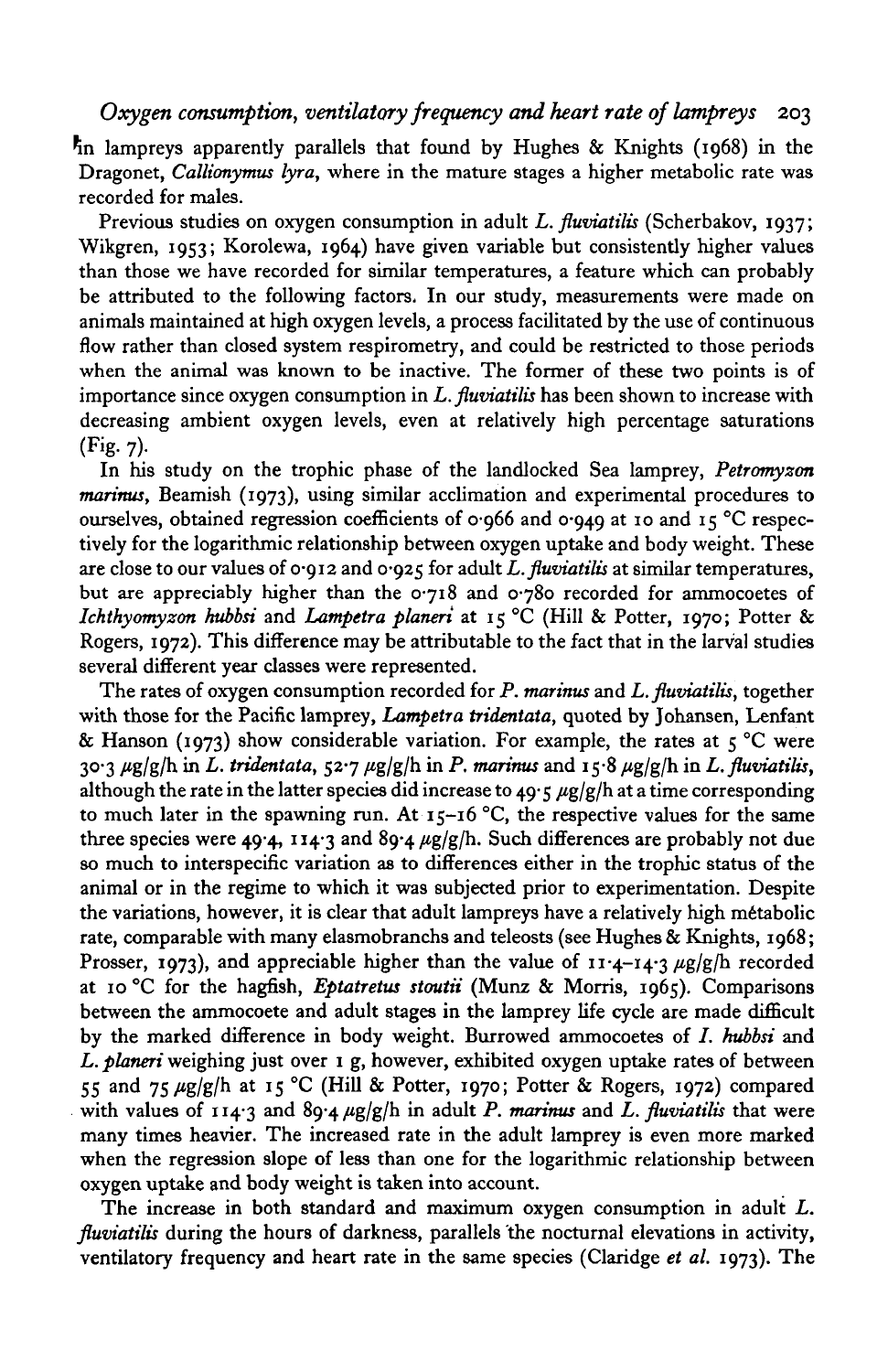In lampreys apparently parallels that found by Hughes & Knights (1968) in the Dragonet, *Callionymus lyra,* where in the mature stages a higher metabolic rate was recorded for males.

Previous studies on oxygen consumption in adult *L. fluviatilis* (Scherbakov, 1937; Wikgren, 1953; Korolewa, 1964) have given variable but consistently higher values than those we have recorded for similar temperatures, a feature which can probably be attributed to the following factors, In our study, measurements were made on animals maintained at high oxygen levels, a process facilitated by the use of continuous flow rather than closed system respirometry, and could be restricted to those periods when the animal was known to be inactive. The former of these two points is of importance since oxygen consumption in *L. fluviatilis* has been shown to increase with decreasing ambient oxygen levels, even at relatively high percentage saturations  $(Fig. 7).$ 

In his study on the trophic phase of the landlocked Sea lamprey, *Petromyzon marinus,* Beamish (1973), using similar acclimation and experimental procedures to ourselves, obtained regression coefficients of 0.966 and 0.949 at 10 and 15 °C respectively for the logarithmic relationship between oxygen uptake and body weight. These are close to our values of  $\sigma$ ·912 and  $\sigma$ ·925 for adult *L. fluviatilis* at similar temperatures, but are appreciably higher than the 0-718 and 0-780 recorded for ammocoetes of *Ichthyomyzon kubbsi* and *Lampetra planeri* at 15 °C (Hill & Potter, 1970; Potter & Rogers, 1972). This difference may be attributable to the fact that in the larval studies several different year classes were represented.

The rates of oxygen consumption recorded for *P. marinus* and *L. fluviatilis,* together with those for the Pacific lamprey, *Lampetra tridentata,* quoted by Johansen, Lenfant & Hanson (1973) show considerable variation. For example, the rates at  $\varsigma$  °C were  $30.3 \mu g/g/h$  in *L. tridentata,*  $52.7 \mu g/g/h$  in *P. marinus* and  $15.8 \mu g/g/h$  in *L. fluviatilis,* although the rate in the latter species did increase to 49.5  $\mu$ g/g/h at a time corresponding to much later in the spawning run. At  $15-16$  °C, the respective values for the same three species were 49.4, 114.3 and  $89.4 \mu g/g/h$ . Such differences are probably not due so much to interspecific variation as to differences either in the trophic status of the animal or in the regime to which it was subjected prior to experimentation. Despite the variations, however, it is clear that adult lampreys have a relatively high metabolic rate, comparable with many elasmobranchs and teleosts (see Hughes & Knights, 1968; Prosser, 1973), and appreciable higher than the value of  $11 \cdot 4 - 14 \cdot 3 \mu g/g/h$  recorded at 10 °C for the hagfish, *Eptatretus stoutii* (Munz & Morris, 1965). Comparisons between the ammocoete and adult stages in the lamprey life cycle are made difficult by the marked difference in body weight. Burrowed ammocoetes of /. *kubbsi* and *L. planeri* weighing just over 1 g, however, exhibited oxygen uptake rates of between 55 and 75  $\mu$ g/g/h at 15 °C (Hill & Potter, 1970; Potter & Rogers, 1972) compared with values of  $114.3$  and  $89.4 \mu g/g/h$  in adult *P. marinus* and *L. fluviatilis* that were many times heavier. The increased rate in the adult lamprey is even more marked when the regression slope of less than one for the logarithmic relationship between oxygen uptake and body weight is taken into account.

The increase in both standard and maximum oxygen consumption in adult *L. fluviatilis* during the hours of darkness, parallels the nocturnal elevations in activity, ventilatory frequency and heart rate in the same species (Claridge *et al.* 1973). The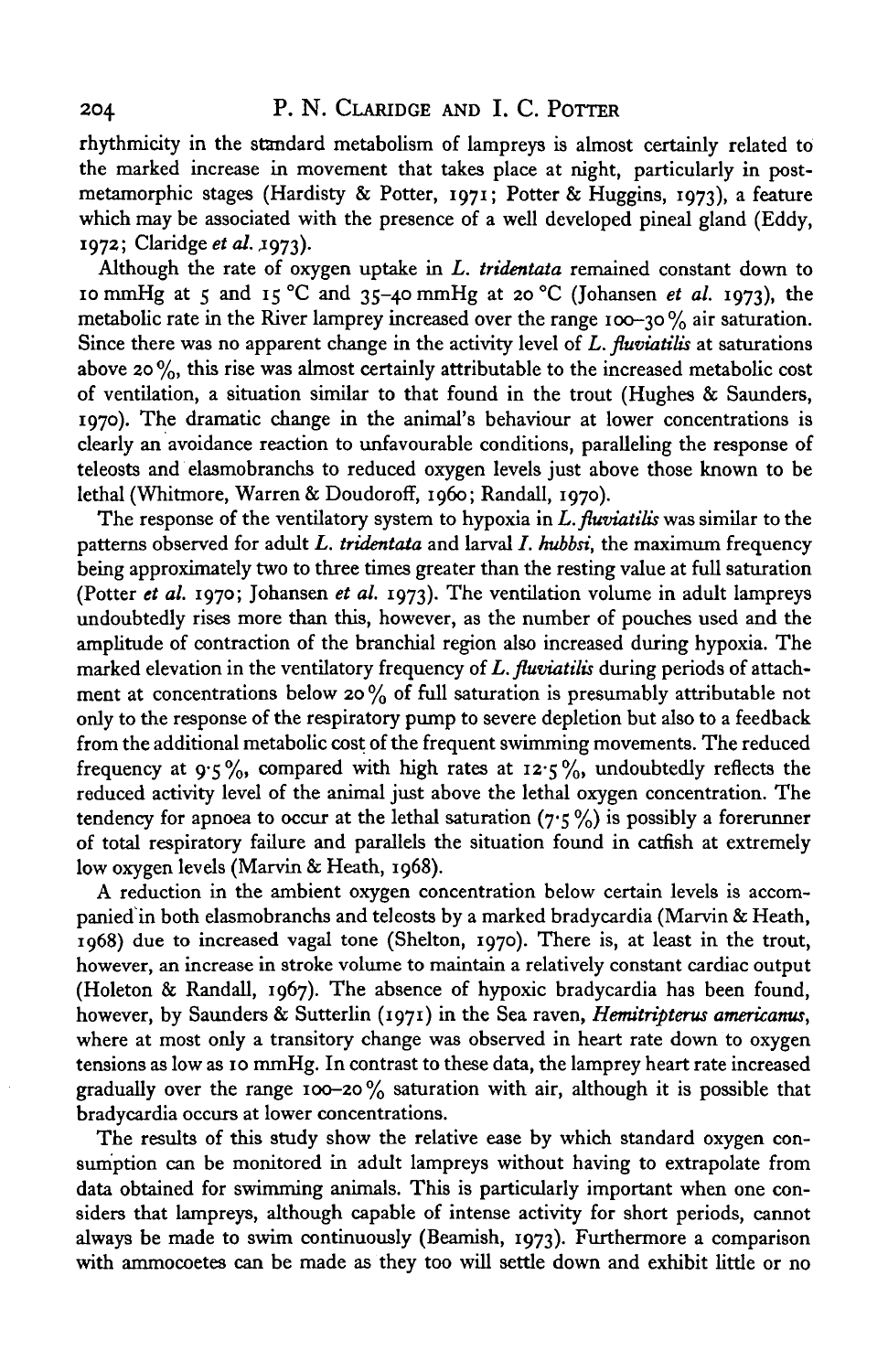rhythmicity in the standard metabolism of lampreys is almost certainly related to the marked increase in movement that takes place at night, particularly in postmetamorphic stages (Hardisty & Potter, 1971; Potter & Huggins, 1973), a feature which may be associated with the presence of a well developed pineal gland (Eddy, 1972; Claridge *et al.* J973).

Although the rate of oxygen uptake in *L. tridentata* remained constant down to 10 mmHg at 5 and 15 °C and 35-40 mmHg at 20 °C (Johansen *et al.* 1973), the metabolic rate in the River lamprey increased over the range 100-30  $\%$  air saturation. Since there was no apparent change in the activity level of *L. fluviatilis* at saturations above 20 $\%$ , this rise was almost certainly attributable to the increased metabolic cost of ventilation, a situation similar to that found in the trout (Hughes & Saunders, 1970). The dramatic change in the animal's behaviour at lower concentrations is clearly an avoidance reaction to unfavourable conditions, paralleling the response of teleosts and elasmobranchs to reduced oxygen levels just above those known to be lethal (Whitmore, Warren & Doudoroff, i960; Randall, 1970).

The response of the ventilatory system to hypoxia in *L. fluviatilis* was similar to the patterns observed for adult *L. tridentata* and larval /. *kubbsi,* the maximum frequency being approximately two to three times greater than the resting value at full saturation (Potter *et al.* 1970; Johansen *et al.* 1973). The ventilation volume in adult lampreys undoubtedly rises more than this, however, as the number of pouches used and the amplitude of contraction of the branchial region also increased during hypoxia. The marked elevation in the ventilatory frequency of *L. fluviatilis* during periods of attachment at concentrations below 20 $\%$  of full saturation is presumably attributable not only to the response of the respiratory pump to severe depletion but also to a feedback from the additional metabolic cost of the frequent swimming movements. The reduced frequency at 9.5%, compared with high rates at  $12.5\%$ , undoubtedly reflects the reduced activity level of the animal just above the lethal oxygen concentration. The tendency for apnoea to occur at the lethal saturation  $(7.5\%)$  is possibly a forerunner of total respiratory failure and parallels the situation found in catfish at extremely low oxygen levels (Marvin & Heath, 1968).

A reduction in the ambient oxygen concentration below certain levels is accompanied in both elasmobranchs and teleosts by a marked bradycardia (Marvin & Heath, 1968) due to increased vagal tone (Shelton, 1970). There is, at least in the trout, however, an increase in stroke volume to maintain a relatively constant cardiac output (Holeton & Randall, 1967). The absence of hypoxic bradycardia has been found, however, by Saunders & Sutterlin (1971) in the Sea raven, *Hemitripterus americanus,* where at most only a transitory change was observed in heart rate down to oxygen tensions as low as 10 mmHg. In contrast to these data, the lamprey heart rate increased gradually over the range 100-20% saturation with air, although it is possible that bradycardia occurs at lower concentrations.

The results of this study show the relative ease by which standard oxygen consumption can be monitored in adult lampreys without having to extrapolate from data obtained for swimming animals. This is particularly important when one considers that lampreys, although capable of intense activity for short periods, cannot always be made to swim continuously (Beamish, 1973). Furthermore a comparison with ammocoetes can be made as they too will settle down and exhibit little or no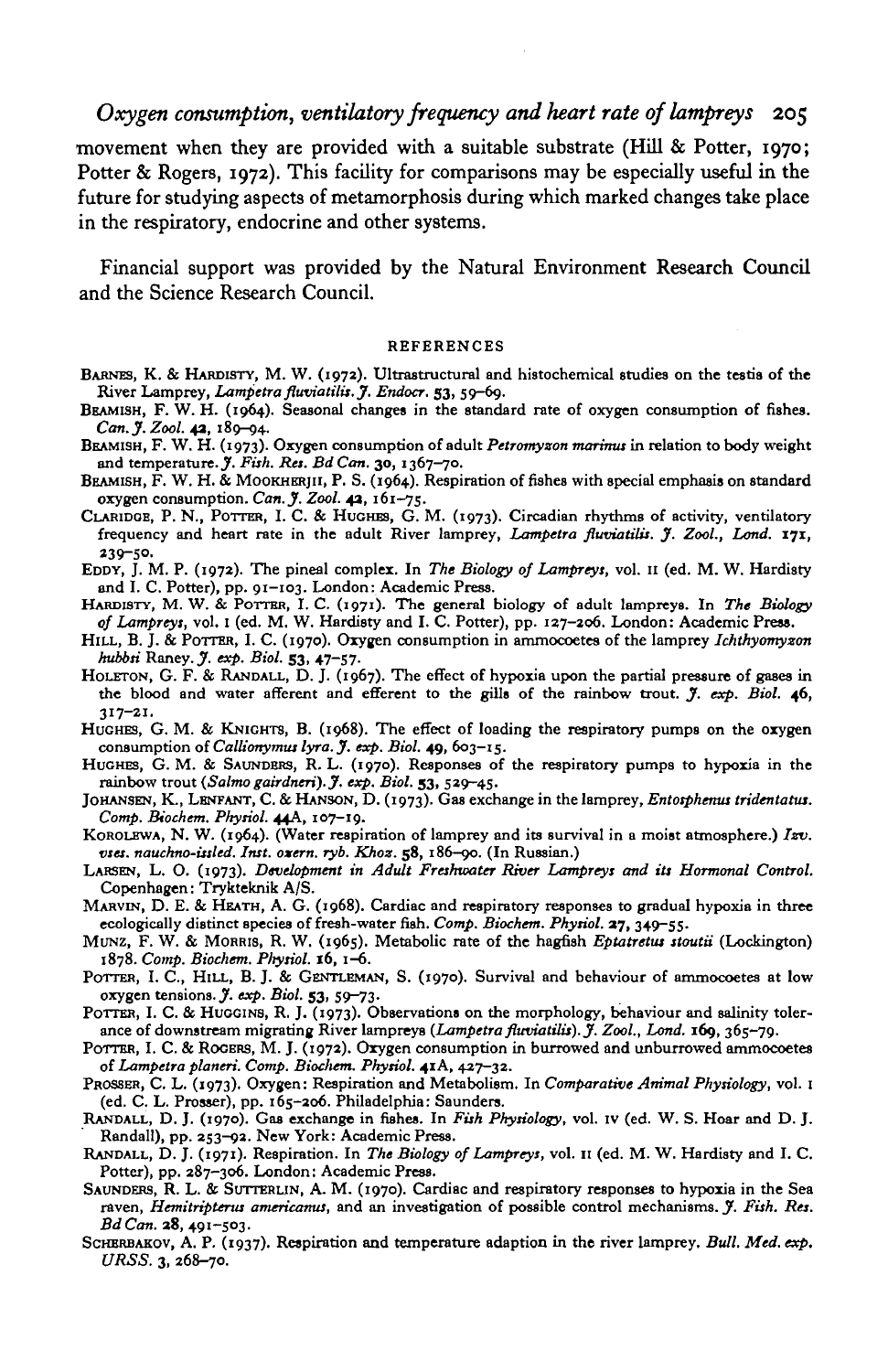# *Oxygen consumption, ventilatory frequency and heart rate of lampreys* 205

•movement when they are provided with a suitable substrate (Hill & Potter, 1970; Potter & Rogers, 1972). This facility for comparisons may be especially useful in the future for studying aspects of metamorphosis during which marked changes take place in the respiratory, endocrine and other systems.

Financial support was provided by the Natural Environment Research Council and the Science Research Council.

#### REFERENCES

- BARNES, K. & HARDISTY, M. W. (1972). Ultrastructural and histochemical studies on the testis of the River Lamprey, Lampetra fluviatilis. J. Endocr. 53, 59-69.<br>BEAMISH, F. W. H. (1964). Seasonal changes in the standard rate
- 
- Can. J. Zool. 42, 189-94.<br>BEAMISH, F. W. H. (1973). Oxygen consumption of adult *Petromyxon marinus* in relation to body weight<br>and temperature. J. Fish. Res. Bd Can. 30, 1367-70.<br>BEAMISH, F. W. H. & MOOKHERJII, P. S. (19
- 
- CLARIDGE, P. N., POTTER, I. C. & HUGHES, G. M. (1973). Circadian rhythms of activity, ventilatory frequency and heart rate in the adult River lamprey, *Lampetra fluviatilis.* J. Zool., Lond. 171, 239-50.
- EDDY, J. M. P. (1972). The pineal complex. In The Biology of Lampreys, vol. 11 (ed. M. W. Hardisty and I. C. Potter), pp. 91-103. London: Academic Press.<br>HARDISTY, M. W. & POTTER, I. C. (1971). The general biology of adult
- 
- *of Lampreys,* vol. 1 (ed. M. W. Hardisty and I. C. Potter), pp. 127-206. London: Academic Press.<br>HILL, B. J. & POTTER, I. C. (1970). Oxygen consumption in ammocoetes of the lamprey *Ichthyomyzon*<br>*hubbsi* Raney. *J. exp.*
- HOLETON, G. F. & RANDALL, D. J. (1967). The effect of hypoxia upon the partial pressure of gases in the blood and water afferent and efferent to the gills of the rainbow trout. *J. exp. Biol.* 46,
- 317-21.<br>HUGHES, G. M. & KNIGHTS, B. (1968). The effect of loading the respiratory pumps on the oxygen<br>consumption of Callionymus lyra. J. exp. Biol. 49, 603-15.<br>HUGHES, G. M. & SAUNDERS, R. L. (1970). Responses of the res
- 
- *Comp. Biochem. Physiol.* **44A, 107-19.** KOROLEWA, N. W. (1964). (Water respiration of lamprey and its survival in a moist atmosphere.) *Izv.*
- *vses. nauchno-issled. Inst. oxern. ryb. Khoz.* **58, 186-90. (In Russian.)**
- **LARSEN, L. O. (1973).** *Development in Adult Freshwater River Lampreys and its Hormonal Control.*
- MARVIN, D. E. & HEATH, A. G. (1968). Cardiac and respiratory responses to gradual hypoxia in three ecologically distinct species of fresh-water fish. Comp. Biochem. Physiol. 27, 349–55.<br>MUNZ, F. W. & MORRIS, R. W. (1965). Metabolic rate of the hagfish *Eptatretus stoutii* (Lockington)
- **1878.** *Comp. Biochem. Physiol.* **16, 1-6.** POTTER, I. C, HILL, B. J. & GENTLEMAN, S. (1970). Survival and behaviour of ammocoetes at low
- oxygen tensions. *J. exp. Biol.* 53, 59-73.<br>POTTER, I. C. & HUGGINS, R. J. (1973). Observations on the morphology, behaviour and salinity toler-
- 
- ance of downstream migrating River lampreys (*Lampetra fluviatilis*). *J. Zool.*, *Lond.* 169, 365-79.<br>POTTER, I. C. & ROGERS, M. J. (1972). Oxygen consumption in burrowed and unburrowed ammocoetes of *Lampetra planeri. Co*
- PROSSER, C. L. (1973). Oxygen: Respiration and Metabolism. In Comparative Animal Physiology, vol. 1
- 
- (ed. C. L. Prosser), pp. 165-206. Philadelphia: Saunders.<br>
RANDALL, D. J. (1970). Gas exchange in fishes. In Fish Physiology, vol. 1v (ed. W. S. Hoar and D. J.<br>
RANDALL, D. J. (1970). Gas exchange in fishes. In Fish Physio
- raven, *Hemitripterus americanus,* and an investigation of possible control mechanisms. *J. Fish. Res. BdCan.* 38, 491-503. SCHERBAKOV, A. P. (1937). Respiration and temperature adaption in the river lamprey. *Bull. Med. exp.*
- *URSS.* 3, 268-70.